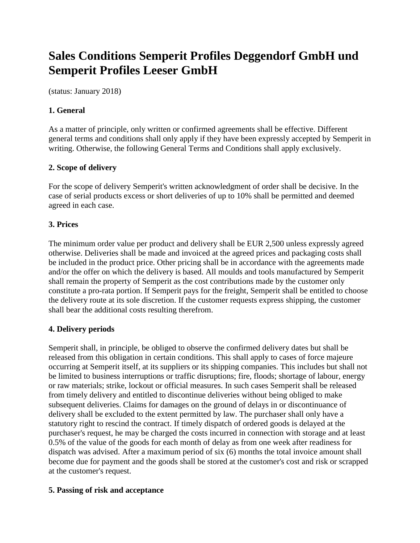# **Sales Conditions Semperit Profiles Deggendorf GmbH und Semperit Profiles Leeser GmbH**

(status: January 2018)

## **1. General**

As a matter of principle, only written or confirmed agreements shall be effective. Different general terms and conditions shall only apply if they have been expressly accepted by Semperit in writing. Otherwise, the following General Terms and Conditions shall apply exclusively.

## **2. Scope of delivery**

For the scope of delivery Semperit's written acknowledgment of order shall be decisive. In the case of serial products excess or short deliveries of up to 10% shall be permitted and deemed agreed in each case.

## **3. Prices**

The minimum order value per product and delivery shall be EUR 2,500 unless expressly agreed otherwise. Deliveries shall be made and invoiced at the agreed prices and packaging costs shall be included in the product price. Other pricing shall be in accordance with the agreements made and/or the offer on which the delivery is based. All moulds and tools manufactured by Semperit shall remain the property of Semperit as the cost contributions made by the customer only constitute a pro-rata portion. If Semperit pays for the freight, Semperit shall be entitled to choose the delivery route at its sole discretion. If the customer requests express shipping, the customer shall bear the additional costs resulting therefrom.

## **4. Delivery periods**

Semperit shall, in principle, be obliged to observe the confirmed delivery dates but shall be released from this obligation in certain conditions. This shall apply to cases of force majeure occurring at Semperit itself, at its suppliers or its shipping companies. This includes but shall not be limited to business interruptions or traffic disruptions; fire, floods; shortage of labour, energy or raw materials; strike, lockout or official measures. In such cases Semperit shall be released from timely delivery and entitled to discontinue deliveries without being obliged to make subsequent deliveries. Claims for damages on the ground of delays in or discontinuance of delivery shall be excluded to the extent permitted by law. The purchaser shall only have a statutory right to rescind the contract. If timely dispatch of ordered goods is delayed at the purchaser's request, he may be charged the costs incurred in connection with storage and at least 0.5% of the value of the goods for each month of delay as from one week after readiness for dispatch was advised. After a maximum period of six (6) months the total invoice amount shall become due for payment and the goods shall be stored at the customer's cost and risk or scrapped at the customer's request.

## **5. Passing of risk and acceptance**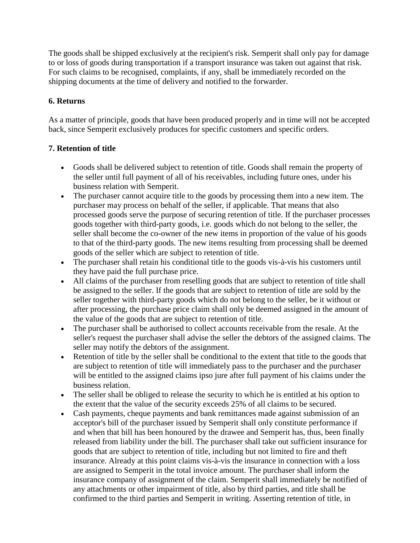The goods shall be shipped exclusively at the recipient's risk. Semperit shall only pay for damage to or loss of goods during transportation if a transport insurance was taken out against that risk. For such claims to be recognised, complaints, if any, shall be immediately recorded on the shipping documents at the time of delivery and notified to the forwarder.

## **6. Returns**

As a matter of principle, goods that have been produced properly and in time will not be accepted back, since Semperit exclusively produces for specific customers and specific orders.

## **7. Retention of title**

- Goods shall be delivered subject to retention of title. Goods shall remain the property of the seller until full payment of all of his receivables, including future ones, under his business relation with Semperit.
- The purchaser cannot acquire title to the goods by processing them into a new item. The purchaser may process on behalf of the seller, if applicable. That means that also processed goods serve the purpose of securing retention of title. If the purchaser processes goods together with third-party goods, i.e. goods which do not belong to the seller, the seller shall become the co-owner of the new items in proportion of the value of his goods to that of the third-party goods. The new items resulting from processing shall be deemed goods of the seller which are subject to retention of title.
- The purchaser shall retain his conditional title to the goods vis-à-vis his customers until they have paid the full purchase price.
- All claims of the purchaser from reselling goods that are subject to retention of title shall be assigned to the seller. If the goods that are subject to retention of title are sold by the seller together with third-party goods which do not belong to the seller, be it without or after processing, the purchase price claim shall only be deemed assigned in the amount of the value of the goods that are subject to retention of title.
- The purchaser shall be authorised to collect accounts receivable from the resale. At the seller's request the purchaser shall advise the seller the debtors of the assigned claims. The seller may notify the debtors of the assignment.
- Retention of title by the seller shall be conditional to the extent that title to the goods that are subject to retention of title will immediately pass to the purchaser and the purchaser will be entitled to the assigned claims ipso jure after full payment of his claims under the business relation.
- The seller shall be obliged to release the security to which he is entitled at his option to the extent that the value of the security exceeds 25% of all claims to be secured.
- Cash payments, cheque payments and bank remittances made against submission of an acceptor's bill of the purchaser issued by Semperit shall only constitute performance if and when that bill has been honoured by the drawee and Semperit has, thus, been finally released from liability under the bill. The purchaser shall take out sufficient insurance for goods that are subject to retention of title, including but not limited to fire and theft insurance. Already at this point claims vis-à-vis the insurance in connection with a loss are assigned to Semperit in the total invoice amount. The purchaser shall inform the insurance company of assignment of the claim. Semperit shall immediately be notified of any attachments or other impairment of title, also by third parties, and title shall be confirmed to the third parties and Semperit in writing. Asserting retention of title, in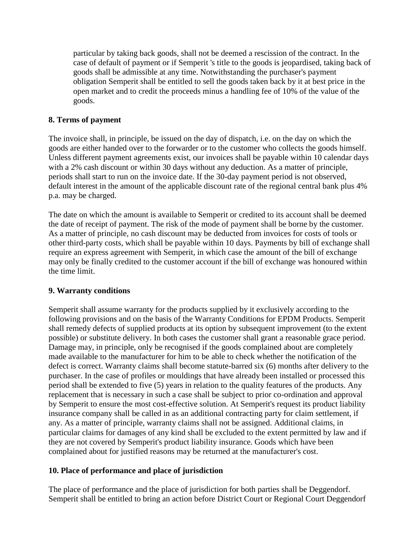particular by taking back goods, shall not be deemed a rescission of the contract. In the case of default of payment or if Semperit 's title to the goods is jeopardised, taking back of goods shall be admissible at any time. Notwithstanding the purchaser's payment obligation Semperit shall be entitled to sell the goods taken back by it at best price in the open market and to credit the proceeds minus a handling fee of 10% of the value of the goods.

#### **8. Terms of payment**

The invoice shall, in principle, be issued on the day of dispatch, i.e. on the day on which the goods are either handed over to the forwarder or to the customer who collects the goods himself. Unless different payment agreements exist, our invoices shall be payable within 10 calendar days with a 2% cash discount or within 30 days without any deduction. As a matter of principle, periods shall start to run on the invoice date. If the 30-day payment period is not observed, default interest in the amount of the applicable discount rate of the regional central bank plus 4% p.a. may be charged.

The date on which the amount is available to Semperit or credited to its account shall be deemed the date of receipt of payment. The risk of the mode of payment shall be borne by the customer. As a matter of principle, no cash discount may be deducted from invoices for costs of tools or other third-party costs, which shall be payable within 10 days. Payments by bill of exchange shall require an express agreement with Semperit, in which case the amount of the bill of exchange may only be finally credited to the customer account if the bill of exchange was honoured within the time limit.

## **9. Warranty conditions**

Semperit shall assume warranty for the products supplied by it exclusively according to the following provisions and on the basis of the Warranty Conditions for EPDM Products. Semperit shall remedy defects of supplied products at its option by subsequent improvement (to the extent possible) or substitute delivery. In both cases the customer shall grant a reasonable grace period. Damage may, in principle, only be recognised if the goods complained about are completely made available to the manufacturer for him to be able to check whether the notification of the defect is correct. Warranty claims shall become statute-barred six (6) months after delivery to the purchaser. In the case of profiles or mouldings that have already been installed or processed this period shall be extended to five (5) years in relation to the quality features of the products. Any replacement that is necessary in such a case shall be subject to prior co-ordination and approval by Semperit to ensure the most cost-effective solution. At Semperit's request its product liability insurance company shall be called in as an additional contracting party for claim settlement, if any. As a matter of principle, warranty claims shall not be assigned. Additional claims, in particular claims for damages of any kind shall be excluded to the extent permitted by law and if they are not covered by Semperit's product liability insurance. Goods which have been complained about for justified reasons may be returned at the manufacturer's cost.

## **10. Place of performance and place of jurisdiction**

The place of performance and the place of jurisdiction for both parties shall be Deggendorf. Semperit shall be entitled to bring an action before District Court or Regional Court Deggendorf